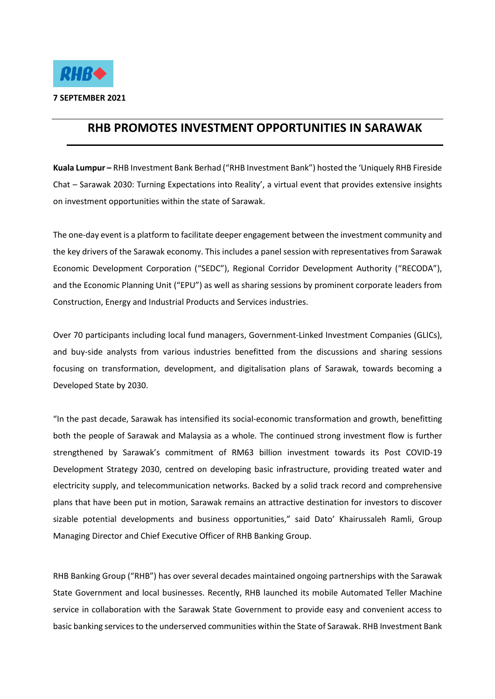

## **RHB PROMOTES INVESTMENT OPPORTUNITIES IN SARAWAK**

**Kuala Lumpur –** RHB Investment Bank Berhad ("RHB Investment Bank") hosted the 'Uniquely RHB Fireside Chat – Sarawak 2030: Turning Expectations into Reality', a virtual event that provides extensive insights on investment opportunities within the state of Sarawak.

The one-day event is a platform to facilitate deeper engagement between the investment community and the key drivers of the Sarawak economy. This includes a panel session with representatives from Sarawak Economic Development Corporation ("SEDC"), Regional Corridor Development Authority ("RECODA"), and the Economic Planning Unit ("EPU") as well as sharing sessions by prominent corporate leaders from Construction, Energy and Industrial Products and Services industries.

Over 70 participants including local fund managers, Government-Linked Investment Companies (GLICs), and buy-side analysts from various industries benefitted from the discussions and sharing sessions focusing on transformation, development, and digitalisation plans of Sarawak, towards becoming a Developed State by 2030.

"In the past decade, Sarawak has intensified its social-economic transformation and growth, benefitting both the people of Sarawak and Malaysia as a whole. The continued strong investment flow is further strengthened by Sarawak's commitment of RM63 billion investment towards its Post COVID-19 Development Strategy 2030, centred on developing basic infrastructure, providing treated water and electricity supply, and telecommunication networks. Backed by a solid track record and comprehensive plans that have been put in motion, Sarawak remains an attractive destination for investors to discover sizable potential developments and business opportunities," said Dato' Khairussaleh Ramli, Group Managing Director and Chief Executive Officer of RHB Banking Group.

RHB Banking Group ("RHB") has over several decades maintained ongoing partnerships with the Sarawak State Government and local businesses. Recently, RHB launched its mobile Automated Teller Machine service in collaboration with the Sarawak State Government to provide easy and convenient access to basic banking services to the underserved communities within the State of Sarawak. RHB Investment Bank